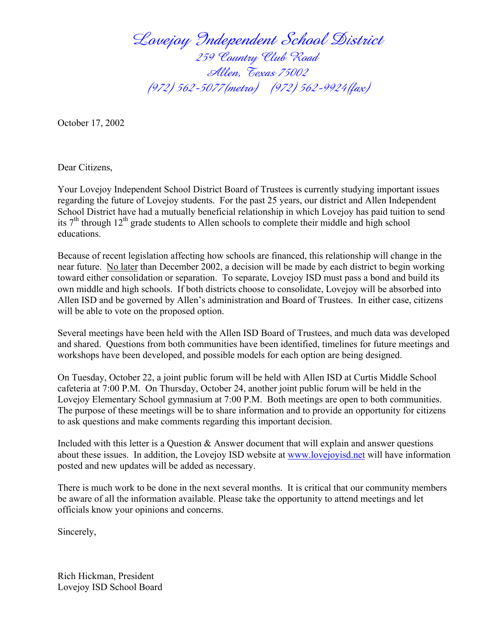Lovejoy Independent School District 259 Country Club Road Allen, Texas 75002 (972) 562-5077(metro) (972) 562-9924(fax)

October 17, 2002

Dear Citizens,

Your Lovejoy Independent School District Board of Trustees is currently studying important issues regarding the future of Lovejoy students. For the past 25 years, our district and Allen Independent School District have had a mutually beneficial relationship in which Lovejoy has paid tuition to send its 7<sup>th</sup> through 12<sup>th</sup> grade students to Allen schools to complete their middle and high school educations.

Because of recent legislation affecting how schools are financed, this relationship will change in the near future. No later than December 2002, a decision will be made by each district to begin working toward either consolidation or separation. To separate, Lovejoy ISD must pass a bond and build its own middle and high schools. If both districts choose to consolidate, Lovejoy will be absorbed into Allen ISD and be governed by Allen's administration and Board of Trustees. In either case, citizens will be able to vote on the proposed option.

Several meetings have been held with the Allen ISD Board of Trustees, and much data was developed and shared. Questions from both communities have been identified, timelines for future meetings and workshops have been developed, and possible models for each option are being designed.

On Tuesday, October 22, a joint public forum will be held with Allen ISD at Curtis Middle School cafeteria at 7:00 P.M. On Thursday, October 24, another joint public forum will be held in the Lovejoy Elementary School gymnasium at 7:00 P.M. Both meetings are open to both communities. The purpose of these meetings will be to share information and to provide an opportunity for citizens to ask questions and make comments regarding this important decision.

Included with this letter is a Question & Answer document that will explain and answer questions about these issues. In addition, the Lovejoy ISD website at www.lovejoyisd.net will have information posted and new updates will be added as necessary.

There is much work to be done in the next several months. It is critical that our community members be aware of all the information available. Please take the opportunity to attend meetings and let officials know your opinions and concerns.

Sincerely,

Rich Hickman, President Lovejoy ISD School Board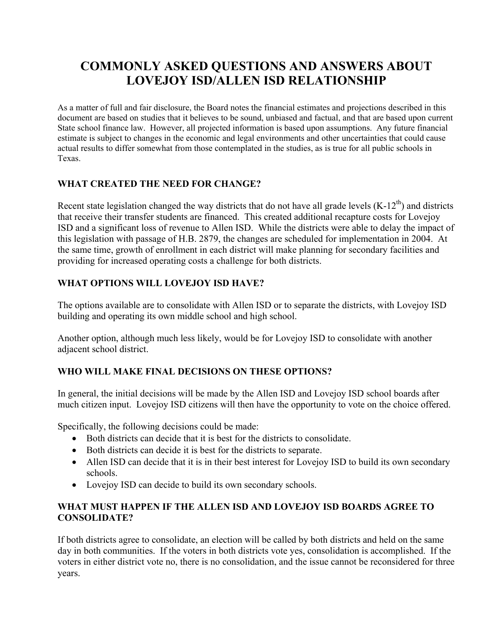# **COMMONLY ASKED QUESTIONS AND ANSWERS ABOUT LOVEJOY ISD/ALLEN ISD RELATIONSHIP**

As a matter of full and fair disclosure, the Board notes the financial estimates and projections described in this document are based on studies that it believes to be sound, unbiased and factual, and that are based upon current State school finance law. However, all projected information is based upon assumptions. Any future financial estimate is subject to changes in the economic and legal environments and other uncertainties that could cause actual results to differ somewhat from those contemplated in the studies, as is true for all public schools in Texas.

# **WHAT CREATED THE NEED FOR CHANGE?**

Recent state legislation changed the way districts that do not have all grade levels  $(K-12<sup>th</sup>)$  and districts that receive their transfer students are financed. This created additional recapture costs for Lovejoy ISD and a significant loss of revenue to Allen ISD. While the districts were able to delay the impact of this legislation with passage of H.B. 2879, the changes are scheduled for implementation in 2004. At the same time, growth of enrollment in each district will make planning for secondary facilities and providing for increased operating costs a challenge for both districts.

# **WHAT OPTIONS WILL LOVEJOY ISD HAVE?**

The options available are to consolidate with Allen ISD or to separate the districts, with Lovejoy ISD building and operating its own middle school and high school.

Another option, although much less likely, would be for Lovejoy ISD to consolidate with another adjacent school district.

### **WHO WILL MAKE FINAL DECISIONS ON THESE OPTIONS?**

In general, the initial decisions will be made by the Allen ISD and Lovejoy ISD school boards after much citizen input. Lovejoy ISD citizens will then have the opportunity to vote on the choice offered.

Specifically, the following decisions could be made:

- Both districts can decide that it is best for the districts to consolidate.
- Both districts can decide it is best for the districts to separate.
- Allen ISD can decide that it is in their best interest for Lovejoy ISD to build its own secondary schools.
- Lovejoy ISD can decide to build its own secondary schools.

### **WHAT MUST HAPPEN IF THE ALLEN ISD AND LOVEJOY ISD BOARDS AGREE TO CONSOLIDATE?**

If both districts agree to consolidate, an election will be called by both districts and held on the same day in both communities. If the voters in both districts vote yes, consolidation is accomplished. If the voters in either district vote no, there is no consolidation, and the issue cannot be reconsidered for three years.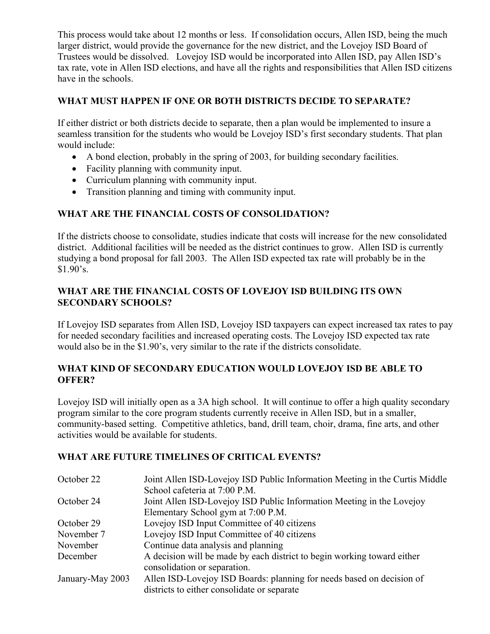This process would take about 12 months or less. If consolidation occurs, Allen ISD, being the much larger district, would provide the governance for the new district, and the Lovejoy ISD Board of Trustees would be dissolved. Lovejoy ISD would be incorporated into Allen ISD, pay Allen ISD's tax rate, vote in Allen ISD elections, and have all the rights and responsibilities that Allen ISD citizens have in the schools.

# **WHAT MUST HAPPEN IF ONE OR BOTH DISTRICTS DECIDE TO SEPARATE?**

If either district or both districts decide to separate, then a plan would be implemented to insure a seamless transition for the students who would be Lovejoy ISD's first secondary students. That plan would include:

- A bond election, probably in the spring of 2003, for building secondary facilities.
- Facility planning with community input.
- Curriculum planning with community input.
- Transition planning and timing with community input.

# **WHAT ARE THE FINANCIAL COSTS OF CONSOLIDATION?**

If the districts choose to consolidate, studies indicate that costs will increase for the new consolidated district. Additional facilities will be needed as the district continues to grow. Allen ISD is currently studying a bond proposal for fall 2003. The Allen ISD expected tax rate will probably be in the \$1.90's.

#### **WHAT ARE THE FINANCIAL COSTS OF LOVEJOY ISD BUILDING ITS OWN SECONDARY SCHOOLS?**

If Lovejoy ISD separates from Allen ISD, Lovejoy ISD taxpayers can expect increased tax rates to pay for needed secondary facilities and increased operating costs. The Lovejoy ISD expected tax rate would also be in the \$1.90's, very similar to the rate if the districts consolidate.

### **WHAT KIND OF SECONDARY EDUCATION WOULD LOVEJOY ISD BE ABLE TO OFFER?**

Lovejoy ISD will initially open as a 3A high school. It will continue to offer a high quality secondary program similar to the core program students currently receive in Allen ISD, but in a smaller, community-based setting. Competitive athletics, band, drill team, choir, drama, fine arts, and other activities would be available for students.

### **WHAT ARE FUTURE TIMELINES OF CRITICAL EVENTS?**

| October 22       | Joint Allen ISD-Lovejoy ISD Public Information Meeting in the Curtis Middle |
|------------------|-----------------------------------------------------------------------------|
|                  | School cafeteria at 7:00 P.M.                                               |
| October 24       | Joint Allen ISD-Lovejoy ISD Public Information Meeting in the Lovejoy       |
|                  | Elementary School gym at 7:00 P.M.                                          |
| October 29       | Lovejoy ISD Input Committee of 40 citizens                                  |
| November 7       | Lovejoy ISD Input Committee of 40 citizens                                  |
| November         | Continue data analysis and planning                                         |
| December         | A decision will be made by each district to begin working toward either     |
|                  | consolidation or separation.                                                |
| January-May 2003 | Allen ISD-Lovejoy ISD Boards: planning for needs based on decision of       |
|                  | districts to either consolidate or separate                                 |